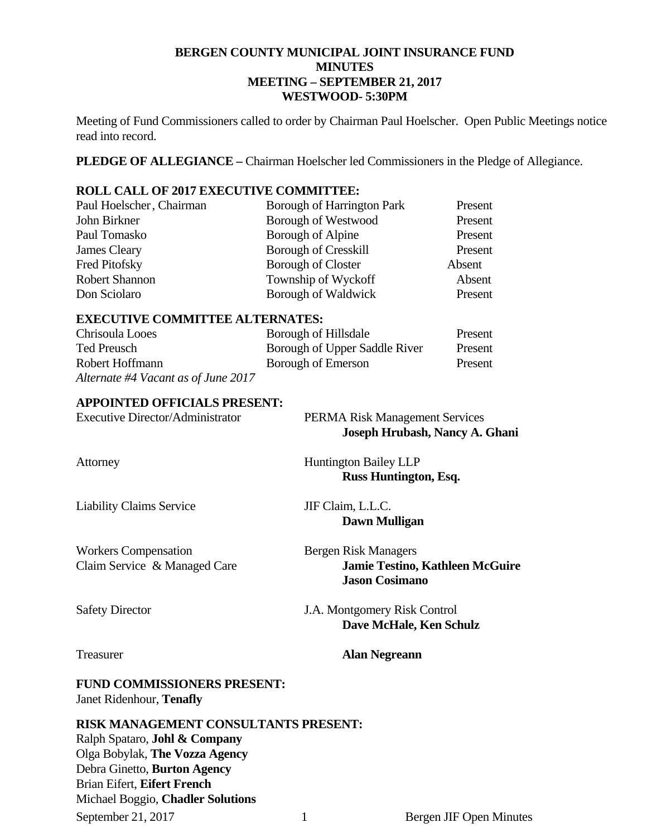# **BERGEN COUNTY MUNICIPAL JOINT INSURANCE FUND MINUTES MEETING – SEPTEMBER 21, 2017 WESTWOOD- 5:30PM**

Meeting of Fund Commissioners called to order by Chairman Paul Hoelscher. Open Public Meetings notice read into record.

**PLEDGE OF ALLEGIANCE –** Chairman Hoelscher led Commissioners in the Pledge of Allegiance.

# **ROLL CALL OF 2017 EXECUTIVE COMMITTEE:**

| Paul Hoelscher, Chairman | Borough of Harrington Park  | Present |
|--------------------------|-----------------------------|---------|
| John Birkner             | <b>Borough of Westwood</b>  | Present |
| Paul Tomasko             | Borough of Alpine           | Present |
| James Cleary             | <b>Borough of Cresskill</b> | Present |
| Fred Pitofsky            | <b>Borough of Closter</b>   | Absent  |
| <b>Robert Shannon</b>    | Township of Wyckoff         | Absent  |
| Don Sciolaro             | Borough of Waldwick         | Present |

## **EXECUTIVE COMMITTEE ALTERNATES:**

| Chrisoula Looes                     | Borough of Hillsdale          | Present |
|-------------------------------------|-------------------------------|---------|
| Ted Preusch                         | Borough of Upper Saddle River | Present |
| Robert Hoffmann                     | Borough of Emerson            | Present |
| Alternate #4 Vacant as of June 2017 |                               |         |

#### **APPOINTED OFFICIALS PRESENT:**

| <b>Executive Director/Administrator</b>                                                 | <b>PERMA Risk Management Services</b><br>Joseph Hrubash, Nancy A. Ghani                 |
|-----------------------------------------------------------------------------------------|-----------------------------------------------------------------------------------------|
| Attorney                                                                                | <b>Huntington Bailey LLP</b><br>Russ Huntington, Esq.                                   |
| <b>Liability Claims Service</b>                                                         | JIF Claim, L.L.C.<br>Dawn Mulligan                                                      |
| <b>Workers Compensation</b><br>Claim Service & Managed Care                             | Bergen Risk Managers<br><b>Jamie Testino, Kathleen McGuire</b><br><b>Jason Cosimano</b> |
| <b>Safety Director</b>                                                                  | J.A. Montgomery Risk Control<br>Dave McHale, Ken Schulz                                 |
| Treasurer                                                                               | <b>Alan Negreann</b>                                                                    |
| <b>FUND COMMISSIONERS PRESENT:</b><br>Janet Ridenhour, Tenafly                          |                                                                                         |
| <b>RISK MANAGEMENT CONSULTANTS PRESENT:</b><br>Ralph Spataro, <b>Johl &amp; Company</b> |                                                                                         |

Olga Bobylak, **The Vozza Agency**  Debra Ginetto, **Burton Agency**  Brian Eifert, **Eifert French** 

Michael Boggio, **Chadler Solutions**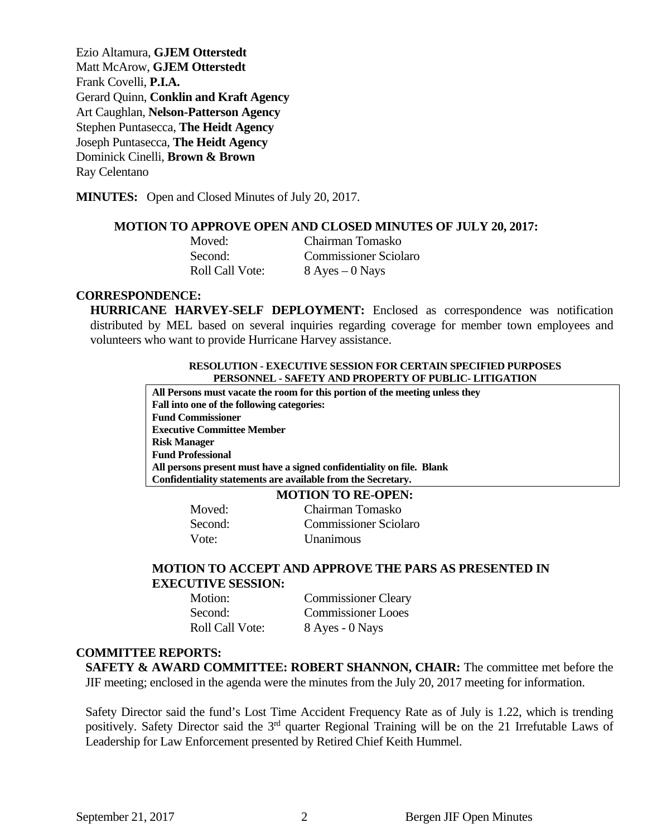Ezio Altamura, **GJEM Otterstedt**  Matt McArow, **GJEM Otterstedt**  Frank Covelli, **P.I.A.**  Gerard Quinn, **Conklin and Kraft Agency**  Art Caughlan, **Nelson-Patterson Agency**  Stephen Puntasecca, **The Heidt Agency** Joseph Puntasecca, **The Heidt Agency** Dominick Cinelli, **Brown & Brown** Ray Celentano

**MINUTES:** Open and Closed Minutes of July 20, 2017.

#### **MOTION TO APPROVE OPEN AND CLOSED MINUTES OF JULY 20, 2017:**

| Moved:                 | Chairman Tomasko             |
|------------------------|------------------------------|
| Second:                | <b>Commissioner Sciolaro</b> |
| <b>Roll Call Vote:</b> | $8$ Ayes $-0$ Nays           |

#### **CORRESPONDENCE:**

**HURRICANE HARVEY-SELF DEPLOYMENT:** Enclosed as correspondence was notification distributed by MEL based on several inquiries regarding coverage for member town employees and volunteers who want to provide Hurricane Harvey assistance.

#### **RESOLUTION - EXECUTIVE SESSION FOR CERTAIN SPECIFIED PURPOSES PERSONNEL - SAFETY AND PROPERTY OF PUBLIC- LITIGATION**

**All Persons must vacate the room for this portion of the meeting unless they Fall into one of the following categories: Fund Commissioner Executive Committee Member Risk Manager Fund Professional All persons present must have a signed confidentiality on file. Blank Confidentiality statements are available from the Secretary.** 

# **MOTION TO RE-OPEN:**

**Moved:** Chairman Tomasko Second: Commissioner Sciolaro Vote: Unanimous

## **MOTION TO ACCEPT AND APPROVE THE PARS AS PRESENTED IN EXECUTIVE SESSION:**

 Motion: Commissioner Cleary Second: Commissioner Looes Roll Call Vote: 8 Ayes - 0 Nays

#### **COMMITTEE REPORTS:**

**SAFETY & AWARD COMMITTEE: ROBERT SHANNON, CHAIR:** The committee met before the JIF meeting; enclosed in the agenda were the minutes from the July 20, 2017 meeting for information.

Safety Director said the fund's Lost Time Accident Frequency Rate as of July is 1.22, which is trending positively. Safety Director said the 3<sup>rd</sup> quarter Regional Training will be on the 21 Irrefutable Laws of Leadership for Law Enforcement presented by Retired Chief Keith Hummel.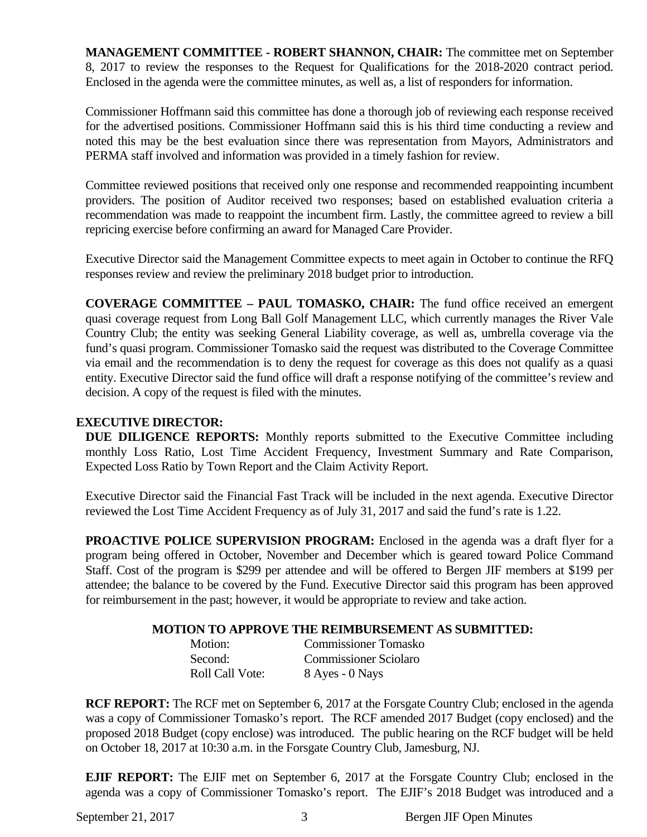**MANAGEMENT COMMITTEE - ROBERT SHANNON, CHAIR:** The committee met on September 8, 2017 to review the responses to the Request for Qualifications for the 2018-2020 contract period. Enclosed in the agenda were the committee minutes, as well as, a list of responders for information.

Commissioner Hoffmann said this committee has done a thorough job of reviewing each response received for the advertised positions. Commissioner Hoffmann said this is his third time conducting a review and noted this may be the best evaluation since there was representation from Mayors, Administrators and PERMA staff involved and information was provided in a timely fashion for review.

Committee reviewed positions that received only one response and recommended reappointing incumbent providers. The position of Auditor received two responses; based on established evaluation criteria a recommendation was made to reappoint the incumbent firm. Lastly, the committee agreed to review a bill repricing exercise before confirming an award for Managed Care Provider.

Executive Director said the Management Committee expects to meet again in October to continue the RFQ responses review and review the preliminary 2018 budget prior to introduction.

**COVERAGE COMMITTEE – PAUL TOMASKO, CHAIR:** The fund office received an emergent quasi coverage request from Long Ball Golf Management LLC, which currently manages the River Vale Country Club; the entity was seeking General Liability coverage, as well as, umbrella coverage via the fund's quasi program. Commissioner Tomasko said the request was distributed to the Coverage Committee via email and the recommendation is to deny the request for coverage as this does not qualify as a quasi entity. Executive Director said the fund office will draft a response notifying of the committee's review and decision. A copy of the request is filed with the minutes.

# **EXECUTIVE DIRECTOR:**

**DUE DILIGENCE REPORTS:** Monthly reports submitted to the Executive Committee including monthly Loss Ratio, Lost Time Accident Frequency, Investment Summary and Rate Comparison, Expected Loss Ratio by Town Report and the Claim Activity Report.

Executive Director said the Financial Fast Track will be included in the next agenda. Executive Director reviewed the Lost Time Accident Frequency as of July 31, 2017 and said the fund's rate is 1.22.

**PROACTIVE POLICE SUPERVISION PROGRAM:** Enclosed in the agenda was a draft flyer for a program being offered in October, November and December which is geared toward Police Command Staff. Cost of the program is \$299 per attendee and will be offered to Bergen JIF members at \$199 per attendee; the balance to be covered by the Fund. Executive Director said this program has been approved for reimbursement in the past; however, it would be appropriate to review and take action.

# **MOTION TO APPROVE THE REIMBURSEMENT AS SUBMITTED:**

| Motion:                | <b>Commissioner Tomasko</b>  |
|------------------------|------------------------------|
| Second:                | <b>Commissioner Sciolaro</b> |
| <b>Roll Call Vote:</b> | 8 Ayes - 0 Nays              |

**RCF REPORT:** The RCF met on September 6, 2017 at the Forsgate Country Club; enclosed in the agenda was a copy of Commissioner Tomasko's report. The RCF amended 2017 Budget (copy enclosed) and the proposed 2018 Budget (copy enclose) was introduced. The public hearing on the RCF budget will be held on October 18, 2017 at 10:30 a.m. in the Forsgate Country Club, Jamesburg, NJ.

**EJIF REPORT:** The EJIF met on September 6, 2017 at the Forsgate Country Club; enclosed in the agenda was a copy of Commissioner Tomasko's report. The EJIF's 2018 Budget was introduced and a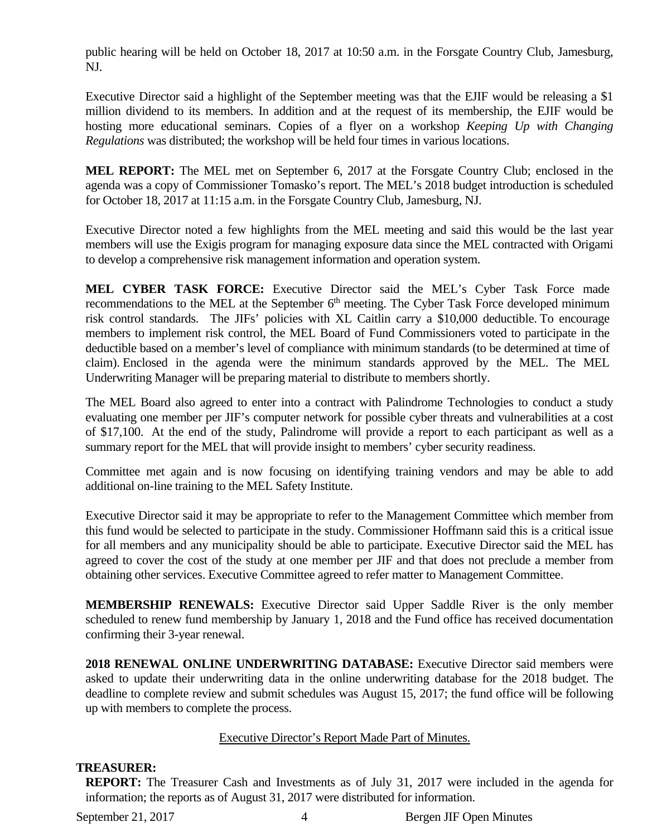public hearing will be held on October 18, 2017 at 10:50 a.m. in the Forsgate Country Club, Jamesburg, NJ.

Executive Director said a highlight of the September meeting was that the EJIF would be releasing a \$1 million dividend to its members. In addition and at the request of its membership, the EJIF would be hosting more educational seminars. Copies of a flyer on a workshop *Keeping Up with Changing Regulations* was distributed; the workshop will be held four times in various locations.

**MEL REPORT:** The MEL met on September 6, 2017 at the Forsgate Country Club; enclosed in the agenda was a copy of Commissioner Tomasko's report. The MEL's 2018 budget introduction is scheduled for October 18, 2017 at 11:15 a.m. in the Forsgate Country Club, Jamesburg, NJ.

Executive Director noted a few highlights from the MEL meeting and said this would be the last year members will use the Exigis program for managing exposure data since the MEL contracted with Origami to develop a comprehensive risk management information and operation system.

**MEL CYBER TASK FORCE:** Executive Director said the MEL's Cyber Task Force made recommendations to the MEL at the September  $6<sup>th</sup>$  meeting. The Cyber Task Force developed minimum risk control standards. The JIFs' policies with XL Caitlin carry a \$10,000 deductible. To encourage members to implement risk control, the MEL Board of Fund Commissioners voted to participate in the deductible based on a member's level of compliance with minimum standards (to be determined at time of claim). Enclosed in the agenda were the minimum standards approved by the MEL. The MEL Underwriting Manager will be preparing material to distribute to members shortly.

The MEL Board also agreed to enter into a contract with Palindrome Technologies to conduct a study evaluating one member per JIF's computer network for possible cyber threats and vulnerabilities at a cost of \$17,100. At the end of the study, Palindrome will provide a report to each participant as well as a summary report for the MEL that will provide insight to members' cyber security readiness.

Committee met again and is now focusing on identifying training vendors and may be able to add additional on-line training to the MEL Safety Institute.

Executive Director said it may be appropriate to refer to the Management Committee which member from this fund would be selected to participate in the study. Commissioner Hoffmann said this is a critical issue for all members and any municipality should be able to participate. Executive Director said the MEL has agreed to cover the cost of the study at one member per JIF and that does not preclude a member from obtaining other services. Executive Committee agreed to refer matter to Management Committee.

**MEMBERSHIP RENEWALS:** Executive Director said Upper Saddle River is the only member scheduled to renew fund membership by January 1, 2018 and the Fund office has received documentation confirming their 3-year renewal.

**2018 RENEWAL ONLINE UNDERWRITING DATABASE:** Executive Director said members were asked to update their underwriting data in the online underwriting database for the 2018 budget. The deadline to complete review and submit schedules was August 15, 2017; the fund office will be following up with members to complete the process.

# Executive Director's Report Made Part of Minutes.

# **TREASURER:**

**REPORT:** The Treasurer Cash and Investments as of July 31, 2017 were included in the agenda for information; the reports as of August 31, 2017 were distributed for information.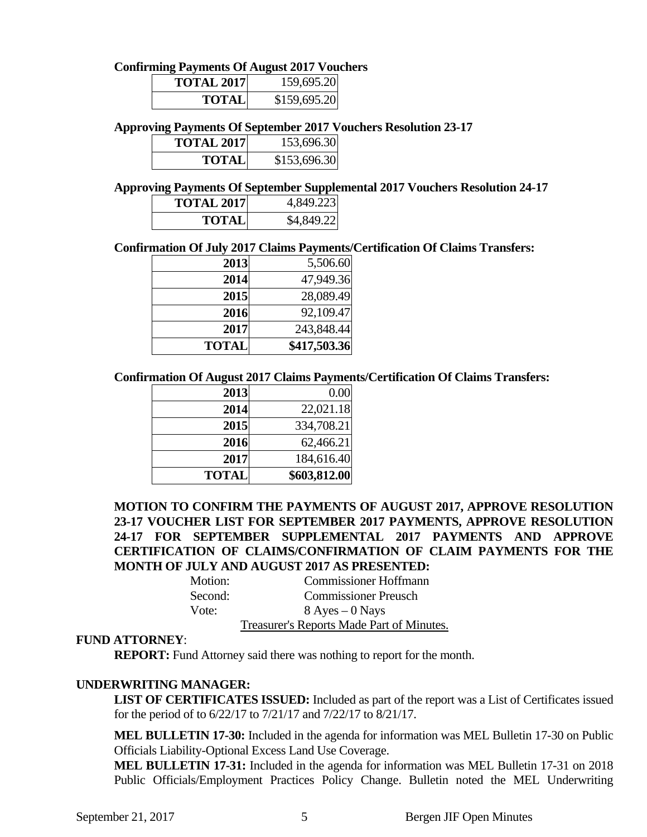# **Confirming Payments Of August 2017 Vouchers**

| <b>TOTAL 2017</b> | 159,695.20   |
|-------------------|--------------|
| TOTALI            | \$159,695.20 |

# **Approving Payments Of September 2017 Vouchers Resolution 23-17**

| <b>TOTAL 2017</b> | 153,696.30   |
|-------------------|--------------|
| TOTALI            | \$153,696.30 |

# **Approving Payments Of September Supplemental 2017 Vouchers Resolution 24-17**

| <b>TOTAL 2017</b> | 4,849.223  |
|-------------------|------------|
| <b>TOTAL</b>      | \$4,849.22 |

#### **Confirmation Of July 2017 Claims Payments/Certification Of Claims Transfers:**

| 2013         | 5,506.60     |
|--------------|--------------|
| 2014         | 47,949.36    |
| 2015         | 28,089.49    |
| 2016         | 92,109.47    |
| 2017         | 243,848.44   |
| <b>TOTAL</b> | \$417,503.36 |

#### **Confirmation Of August 2017 Claims Payments/Certification Of Claims Transfers:**

| 2013         | 0.00         |
|--------------|--------------|
| 2014         | 22,021.18    |
| 2015         | 334,708.21   |
| 2016         | 62,466.21    |
| 2017         | 184,616.40   |
| <b>TOTAL</b> | \$603,812.00 |

# **MOTION TO CONFIRM THE PAYMENTS OF AUGUST 2017, APPROVE RESOLUTION 23-17 VOUCHER LIST FOR SEPTEMBER 2017 PAYMENTS, APPROVE RESOLUTION 24-17 FOR SEPTEMBER SUPPLEMENTAL 2017 PAYMENTS AND APPROVE CERTIFICATION OF CLAIMS/CONFIRMATION OF CLAIM PAYMENTS FOR THE MONTH OF JULY AND AUGUST 2017 AS PRESENTED:**

| Motion: | <b>Commissioner Hoffmann</b>              |
|---------|-------------------------------------------|
| Second: | <b>Commissioner Preusch</b>               |
| Vote:   | $8$ Ayes $-0$ Nays                        |
|         | Treasurer's Reports Made Part of Minutes. |

#### **FUND ATTORNEY**:

**REPORT:** Fund Attorney said there was nothing to report for the month.

# **UNDERWRITING MANAGER:**

**LIST OF CERTIFICATES ISSUED:** Included as part of the report was a List of Certificates issued for the period of to 6/22/17 to 7/21/17 and 7/22/17 to 8/21/17.

**MEL BULLETIN 17-30:** Included in the agenda for information was MEL Bulletin 17-30 on Public Officials Liability-Optional Excess Land Use Coverage.

**MEL BULLETIN 17-31:** Included in the agenda for information was MEL Bulletin 17-31 on 2018 Public Officials/Employment Practices Policy Change. Bulletin noted the MEL Underwriting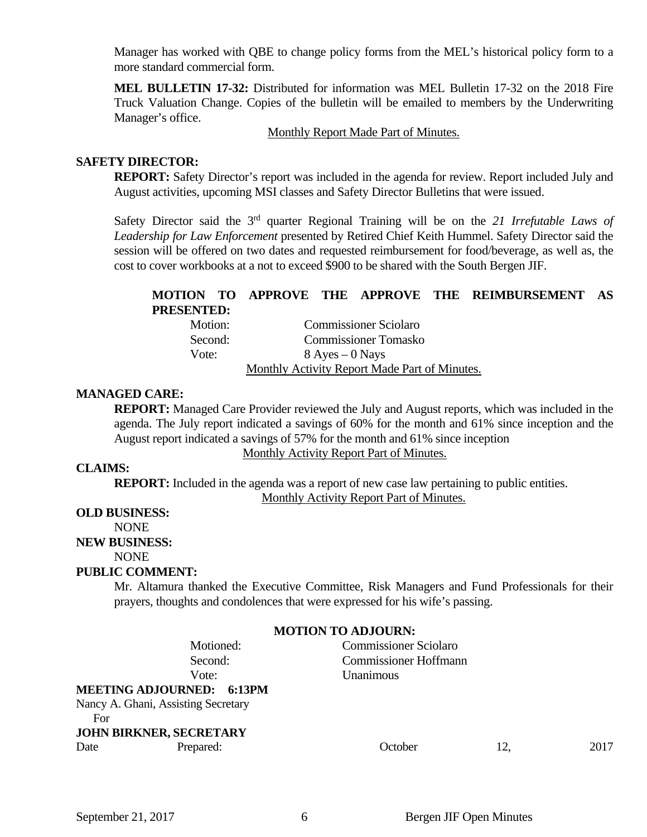Manager has worked with QBE to change policy forms from the MEL's historical policy form to a more standard commercial form.

**MEL BULLETIN 17-32:** Distributed for information was MEL Bulletin 17-32 on the 2018 Fire Truck Valuation Change. Copies of the bulletin will be emailed to members by the Underwriting Manager's office.

Monthly Report Made Part of Minutes.

### **SAFETY DIRECTOR:**

**REPORT:** Safety Director's report was included in the agenda for review. Report included July and August activities, upcoming MSI classes and Safety Director Bulletins that were issued.

Safety Director said the 3rd quarter Regional Training will be on the *21 Irrefutable Laws of Leadership for Law Enforcement* presented by Retired Chief Keith Hummel. Safety Director said the session will be offered on two dates and requested reimbursement for food/beverage, as well as, the cost to cover workbooks at a not to exceed \$900 to be shared with the South Bergen JIF.

#### **MOTION TO APPROVE THE APPROVE THE REIMBURSEMENT AS PRESENTED:**

| Motion: | <b>Commissioner Sciolaro</b>                  |
|---------|-----------------------------------------------|
| Second: | <b>Commissioner Tomasko</b>                   |
| Vote:   | $8$ Ayes $-0$ Nays                            |
|         | Monthly Activity Report Made Part of Minutes. |

#### **MANAGED CARE:**

**REPORT:** Managed Care Provider reviewed the July and August reports, which was included in the agenda. The July report indicated a savings of 60% for the month and 61% since inception and the August report indicated a savings of 57% for the month and 61% since inception

Monthly Activity Report Part of Minutes.

### **CLAIMS:**

**REPORT:** Included in the agenda was a report of new case law pertaining to public entities. Monthly Activity Report Part of Minutes.

## **OLD BUSINESS:**

NONE

#### **NEW BUSINESS:**

NONE

# **PUBLIC COMMENT:**

Mr. Altamura thanked the Executive Committee, Risk Managers and Fund Professionals for their prayers, thoughts and condolences that were expressed for his wife's passing.

#### **MOTION TO ADJOURN:**

# Motioned: Commissioner Sciolaro Second: Commissioner Hoffmann Vote: Unanimous

**MEETING ADJOURNED: 6:13PM**  Nancy A. Ghani, Assisting Secretary For **JOHN BIRKNER, SECRETARY** 

Date Prepared: Prepared: Cotober 12, 2017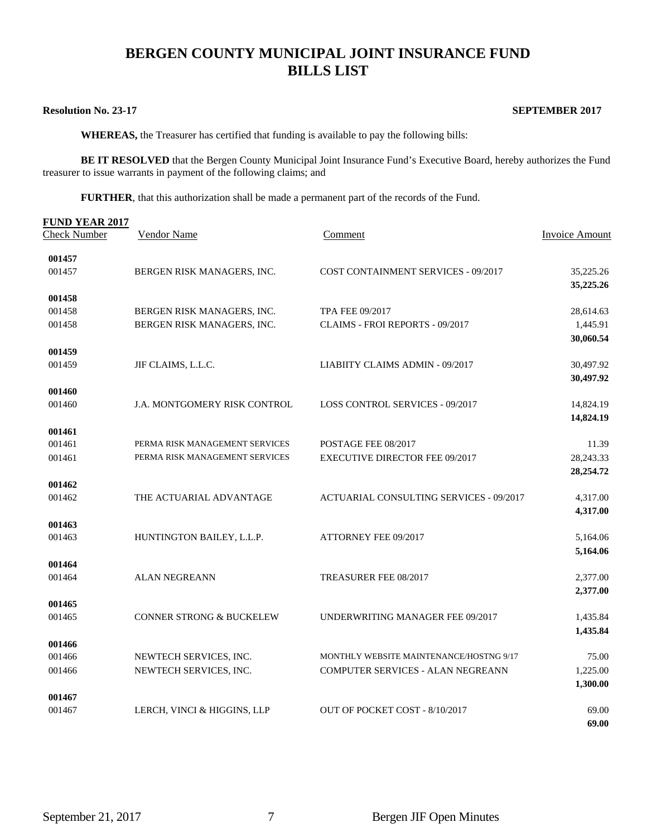# **BERGEN COUNTY MUNICIPAL JOINT INSURANCE FUND BILLS LIST**

#### **Resolution No. 23-17** SEPTEMBER 2017

 **WHEREAS,** the Treasurer has certified that funding is available to pay the following bills:

**BE IT RESOLVED** that the Bergen County Municipal Joint Insurance Fund's Executive Board, hereby authorizes the Fund treasurer to issue warrants in payment of the following claims; and

**FURTHER**, that this authorization shall be made a permanent part of the records of the Fund.

| <b>FUND YEAR 2017</b> |                                     |                                                                                     |                |  |  |
|-----------------------|-------------------------------------|-------------------------------------------------------------------------------------|----------------|--|--|
| <b>Check Number</b>   | Vendor Name                         | Comment                                                                             | Invoice Amount |  |  |
| 001457                |                                     |                                                                                     |                |  |  |
| 001457                | BERGEN RISK MANAGERS, INC.          | <b>COST CONTAINMENT SERVICES - 09/2017</b>                                          | 35,225.26      |  |  |
|                       |                                     |                                                                                     | 35,225.26      |  |  |
| 001458                |                                     |                                                                                     |                |  |  |
| 001458                | BERGEN RISK MANAGERS, INC.          | <b>TPA FEE 09/2017</b>                                                              | 28,614.63      |  |  |
| 001458                | BERGEN RISK MANAGERS, INC.          | CLAIMS - FROI REPORTS - 09/2017                                                     | 1,445.91       |  |  |
|                       |                                     |                                                                                     | 30,060.54      |  |  |
| 001459                |                                     |                                                                                     |                |  |  |
| 001459                | JIF CLAIMS, L.L.C.                  | LIABIITY CLAIMS ADMIN - 09/2017                                                     | 30,497.92      |  |  |
|                       |                                     |                                                                                     | 30,497.92      |  |  |
| 001460                |                                     |                                                                                     |                |  |  |
| 001460                | J.A. MONTGOMERY RISK CONTROL        | <b>LOSS CONTROL SERVICES - 09/2017</b>                                              | 14,824.19      |  |  |
| 001461                |                                     |                                                                                     | 14,824.19      |  |  |
| 001461                | PERMA RISK MANAGEMENT SERVICES      | POSTAGE FEE 08/2017                                                                 | 11.39          |  |  |
| 001461                | PERMA RISK MANAGEMENT SERVICES      | <b>EXECUTIVE DIRECTOR FEE 09/2017</b>                                               | 28, 243. 33    |  |  |
|                       |                                     |                                                                                     | 28,254.72      |  |  |
| 001462                |                                     |                                                                                     |                |  |  |
| 001462                | THE ACTUARIAL ADVANTAGE             | <b>ACTUARIAL CONSULTING SERVICES - 09/2017</b>                                      | 4,317.00       |  |  |
|                       |                                     |                                                                                     | 4,317.00       |  |  |
| 001463                |                                     |                                                                                     |                |  |  |
| 001463                | HUNTINGTON BAILEY, L.L.P.           | <b>ATTORNEY FEE 09/2017</b>                                                         | 5,164.06       |  |  |
|                       |                                     |                                                                                     | 5,164.06       |  |  |
| 001464                |                                     |                                                                                     |                |  |  |
| 001464                | <b>ALAN NEGREANN</b>                | TREASURER FEE 08/2017                                                               | 2,377.00       |  |  |
|                       |                                     |                                                                                     | 2,377.00       |  |  |
| 001465                |                                     |                                                                                     |                |  |  |
| 001465                | <b>CONNER STRONG &amp; BUCKELEW</b> | UNDERWRITING MANAGER FEE 09/2017                                                    | 1,435.84       |  |  |
|                       |                                     |                                                                                     | 1,435.84       |  |  |
| 001466                |                                     |                                                                                     |                |  |  |
| 001466                | NEWTECH SERVICES, INC.              | MONTHLY WEBSITE MAINTENANCE/HOSTNG 9/17<br><b>COMPUTER SERVICES - ALAN NEGREANN</b> | 75.00          |  |  |
| 001466                | NEWTECH SERVICES, INC.              |                                                                                     | 1,225.00       |  |  |
| 001467                |                                     |                                                                                     | 1,300.00       |  |  |
| 001467                | LERCH, VINCI & HIGGINS, LLP         | OUT OF POCKET COST - 8/10/2017                                                      | 69.00          |  |  |
|                       |                                     |                                                                                     | 69.00          |  |  |
|                       |                                     |                                                                                     |                |  |  |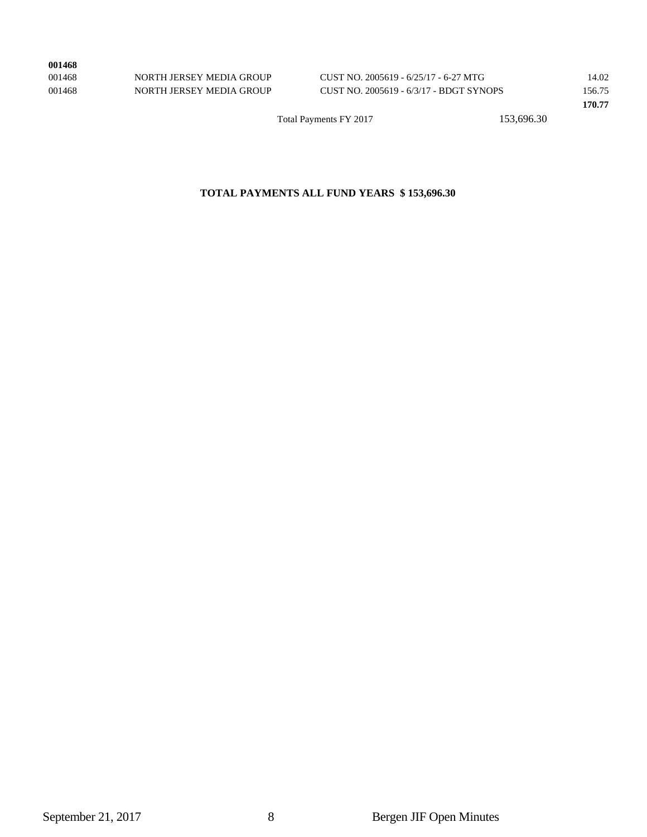| 001468 |                             |                                     |
|--------|-----------------------------|-------------------------------------|
| 001468 | NORTH JERSEY MEDIA GROUP    | CUST NO. 2005619 - 6/25/17 - 6-27 M |
| 001170 | MODELL IDDGDV/AIDDLA GDOLID | $CUTCDUQ$ 0005/10 $ZQ/17$ DDCFC     |

001468 NORTH JERSEY MEDIA GROUP CUST NO. 2005619 - 6/25/17 - 6-27 MTG 14.02 001468 NORTH JERSEY MEDIA GROUP CUST NO. 2005619 - 6/3/17 - BDGT SYNOPS 156.75

Total Payments FY 2017 153,696.30

## **TOTAL PAYMENTS ALL FUND YEARS \$ 153,696.30**